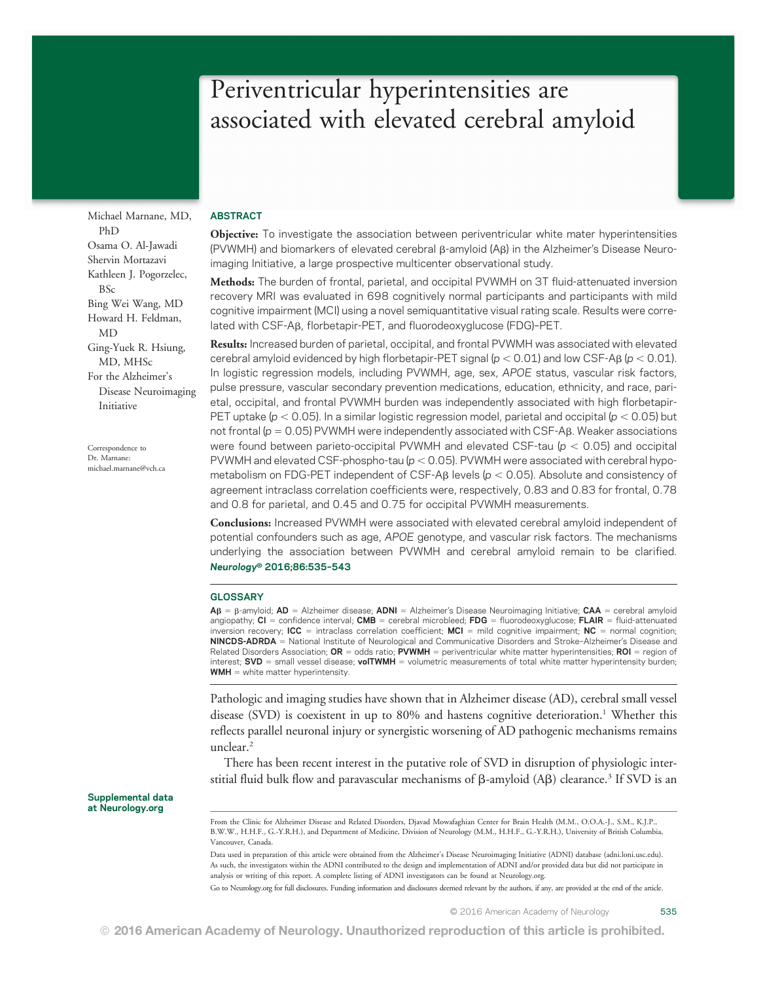# Periventricular hyperintensities are associated with elevated cerebral amyloid

Michael Marnane, MD, PhD Osama O. Al-Jawadi Shervin Mortazavi Kathleen J. Pogorzelec, BSc Bing Wei Wang, MD Howard H. Feldman, MD Ging-Yuek R. Hsiung, MD, MHSc For the Alzheimer's Disease Neuroimaging Initiative

Correspondence to Dr. Marnane: [michael.marnane@vch.ca](mailto:michael.marnane@vch.ca)

## ABSTRACT

Objective: To investigate the association between periventricular white mater hyperintensities (PVWMH) and biomarkers of elevated cerebral β-amyloid (Aβ) in the Alzheimer's Disease Neuroimaging Initiative, a large prospective multicenter observational study.

Methods: The burden of frontal, parietal, and occipital PVWMH on 3T fluid-attenuated inversion recovery MRI was evaluated in 698 cognitively normal participants and participants with mild cognitive impairment (MCI) using a novel semiquantitative visual rating scale. Results were correlated with CSF-Ab, florbetapir-PET, and fluorodeoxyglucose (FDG)–PET.

Results: Increased burden of parietal, occipital, and frontal PVWMH was associated with elevated cerebral amyloid evidenced by high florbetapir-PET signal ( $p < 0.01$ ) and low CSF-A $\beta$  ( $p < 0.01$ ). In logistic regression models, including PVWMH, age, sex, APOE status, vascular risk factors, pulse pressure, vascular secondary prevention medications, education, ethnicity, and race, parietal, occipital, and frontal PVWMH burden was independently associated with high florbetapir-PET uptake ( $p < 0.05$ ). In a similar logistic regression model, parietal and occipital ( $p < 0.05$ ) but not frontal ( $p = 0.05$ ) PVWMH were independently associated with CSF-A $\beta$ . Weaker associations were found between parieto-occipital PVWMH and elevated CSF-tau ( $p < 0.05$ ) and occipital PVWMH and elevated CSF-phospho-tau ( $p < 0.05$ ). PVWMH were associated with cerebral hypometabolism on FDG-PET independent of CSF-A $\beta$  levels ( $p < 0.05$ ). Absolute and consistency of agreement intraclass correlation coefficients were, respectively, 0.83 and 0.83 for frontal, 0.78 and 0.8 for parietal, and 0.45 and 0.75 for occipital PVWMH measurements.

Conclusions: Increased PVWMH were associated with elevated cerebral amyloid independent of potential confounders such as age, APOE genotype, and vascular risk factors. The mechanisms underlying the association between PVWMH and cerebral amyloid remain to be clarified. Neurology® 2016;86:535–<sup>543</sup>

### GLOSSARY

 $AB = \beta$ -amyloid; AD = Alzheimer disease; ADNI = Alzheimer's Disease Neuroimaging Initiative; CAA = cerebral amyloid angiopathy; CI = confidence interval; CMB = cerebral microbleed; FDG = fluorodeoxyglucose; FLAIR = fluid-attenuated inversion recovery; ICC = intraclass correlation coefficient; MCI = mild cognitive impairment; NC = normal cognition; NINCDS-ADRDA = National Institute of Neurological and Communicative Disorders and Stroke-Alzheimer's Disease and Related Disorders Association; OR = odds ratio; PVWMH = periventricular white matter hyperintensities; ROI = region of interest;  $SVD =$  small vessel disease; volTWMH = volumetric measurements of total white matter hyperintensity burden;  $WMH =$  white matter hyperintensity.

Pathologic and imaging studies have shown that in Alzheimer disease (AD), cerebral small vessel disease (SVD) is coexistent in up to 80% and hastens cognitive deterioration.1 Whether this reflects parallel neuronal injury or synergistic worsening of AD pathogenic mechanisms remains unclear.<sup>2</sup>

There has been recent interest in the putative role of SVD in disruption of physiologic interstitial fluid bulk flow and paravascular mechanisms of  $\beta$ -amyloid (A $\beta$ ) clearance.<sup>3</sup> If SVD is an

Supplemental data at [Neurology.org](http://neurology.org/lookup/doi/10.1212/WNL.0000000000002352)

Data used in preparation of this article were obtained from the Alzheimer's Disease Neuroimaging Initiative (ADNI) database [\(adni.loni.usc.edu\)](http://adni.loni.usc.edu). As such, the investigators within the ADNI contributed to the design and implementation of ADNI and/or provided data but did not participate in analysis or writing of this report. A complete listing of ADNI investigators can be found at [Neurology.org.](http://neurology.org/lookup/doi/10.1212/WNL.0000000000002352)

Go to [Neurology.org](http://neurology.org/lookup/doi/10.1212/WNL.0000000000002352) for full disclosures. Funding information and disclosures deemed relevant by the authors, if any, are provided at the end of the article.

From the Clinic for Alzheimer Disease and Related Disorders, Djavad Mowafaghian Center for Brain Health (M.M., O.O.A.-J., S.M., K.J.P., B.W.W., H.H.F., G.-Y.R.H.), and Department of Medicine, Division of Neurology (M.M., H.H.F., G.-Y.R.H.), University of British Columbia, Vancouver, Canada.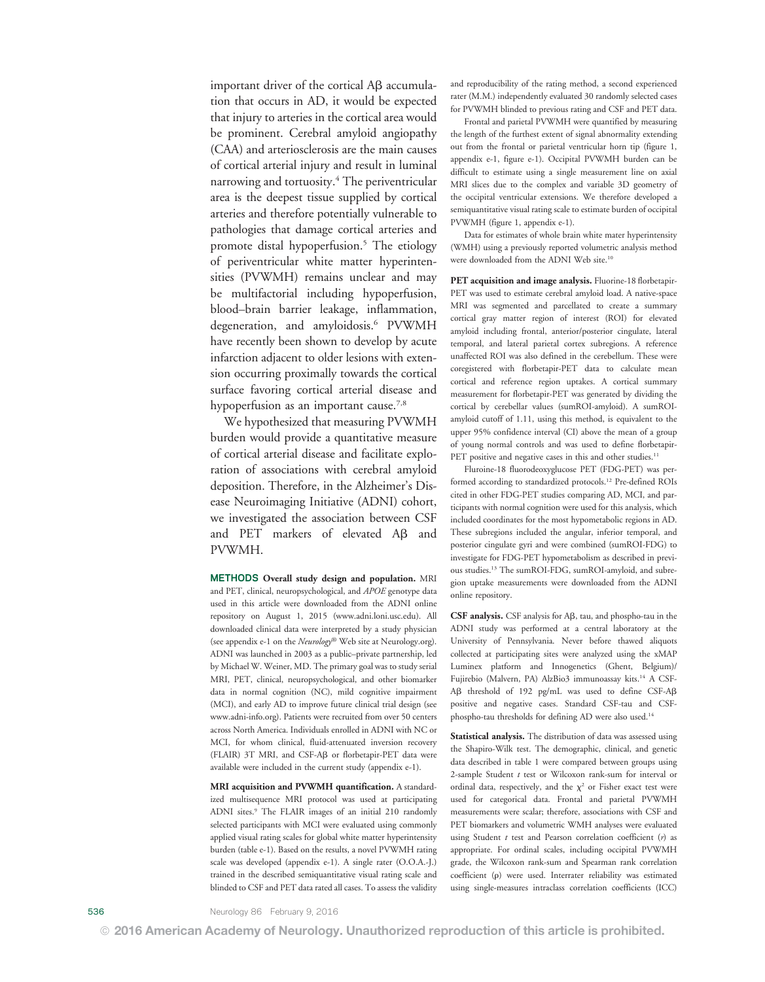important driver of the cortical  $\text{A}\beta$  accumulation that occurs in AD, it would be expected that injury to arteries in the cortical area would be prominent. Cerebral amyloid angiopathy (CAA) and arteriosclerosis are the main causes of cortical arterial injury and result in luminal narrowing and tortuosity.4 The periventricular area is the deepest tissue supplied by cortical arteries and therefore potentially vulnerable to pathologies that damage cortical arteries and promote distal hypoperfusion.<sup>5</sup> The etiology of periventricular white matter hyperintensities (PVWMH) remains unclear and may be multifactorial including hypoperfusion, blood–brain barrier leakage, inflammation, degeneration, and amyloidosis.<sup>6</sup> PVWMH have recently been shown to develop by acute infarction adjacent to older lesions with extension occurring proximally towards the cortical surface favoring cortical arterial disease and hypoperfusion as an important cause.<sup>7,8</sup>

We hypothesized that measuring PVWMH burden would provide a quantitative measure of cortical arterial disease and facilitate exploration of associations with cerebral amyloid deposition. Therefore, in the Alzheimer's Disease Neuroimaging Initiative (ADNI) cohort, we investigated the association between CSF and PET markers of elevated  $AB$  and PVWMH.

METHODS Overall study design and population. MRI and PET, clinical, neuropsychological, and APOE genotype data used in this article were downloaded from the ADNI online repository on August 1, 2015 ([www.adni.loni.usc.edu](http://www.adni.loni.usc.edu)). All downloaded clinical data were interpreted by a study physician (see appendix e-1 on the Neurology® Web site at [Neurology.org\)](http://neurology.org/lookup/doi/10.1212/WNL.0000000000002352). ADNI was launched in 2003 as a public–private partnership, led by Michael W. Weiner, MD. The primary goal was to study serial MRI, PET, clinical, neuropsychological, and other biomarker data in normal cognition (NC), mild cognitive impairment (MCI), and early AD to improve future clinical trial design (see [www.adni-info.org\)](http://www.adni-info.org). Patients were recruited from over 50 centers across North America. Individuals enrolled in ADNI with NC or MCI, for whom clinical, fluid-attenuated inversion recovery (FLAIR) 3T MRI, and CSF-Aß or florbetapir-PET data were available were included in the current study (appendix e-1).

MRI acquisition and PVWMH quantification. A standardized multisequence MRI protocol was used at participating ADNI sites.<sup>9</sup> The FLAIR images of an initial 210 randomly selected participants with MCI were evaluated using commonly applied visual rating scales for global white matter hyperintensity burden (table e-1). Based on the results, a novel PVWMH rating scale was developed (appendix e-1). A single rater (O.O.A.-J.) trained in the described semiquantitative visual rating scale and blinded to CSF and PET data rated all cases. To assess the validity and reproducibility of the rating method, a second experienced rater (M.M.) independently evaluated 30 randomly selected cases for PVWMH blinded to previous rating and CSF and PET data.

Frontal and parietal PVWMH were quantified by measuring the length of the furthest extent of signal abnormality extending out from the frontal or parietal ventricular horn tip (figure 1, appendix e-1, figure e-1). Occipital PVWMH burden can be difficult to estimate using a single measurement line on axial MRI slices due to the complex and variable 3D geometry of the occipital ventricular extensions. We therefore developed a semiquantitative visual rating scale to estimate burden of occipital PVWMH (figure 1, appendix e-1).

Data for estimates of whole brain white mater hyperintensity (WMH) using a previously reported volumetric analysis method were downloaded from the ADNI Web site.10

PET acquisition and image analysis. Fluorine-18 florbetapir-PET was used to estimate cerebral amyloid load. A native-space MRI was segmented and parcellated to create a summary cortical gray matter region of interest (ROI) for elevated amyloid including frontal, anterior/posterior cingulate, lateral temporal, and lateral parietal cortex subregions. A reference unaffected ROI was also defined in the cerebellum. These were coregistered with florbetapir-PET data to calculate mean cortical and reference region uptakes. A cortical summary measurement for florbetapir-PET was generated by dividing the cortical by cerebellar values (sumROI-amyloid). A sumROIamyloid cutoff of 1.11, using this method, is equivalent to the upper 95% confidence interval (CI) above the mean of a group of young normal controls and was used to define florbetapir-PET positive and negative cases in this and other studies.<sup>11</sup>

Fluroine-18 fluorodeoxyglucose PET (FDG-PET) was performed according to standardized protocols.12 Pre-defined ROIs cited in other FDG-PET studies comparing AD, MCI, and participants with normal cognition were used for this analysis, which included coordinates for the most hypometabolic regions in AD. These subregions included the angular, inferior temporal, and posterior cingulate gyri and were combined (sumROI-FDG) to investigate for FDG-PET hypometabolism as described in previous studies.13 The sumROI-FDG, sumROI-amyloid, and subregion uptake measurements were downloaded from the ADNI online repository.

CSF analysis. CSF analysis for AB, tau, and phospho-tau in the ADNI study was performed at a central laboratory at the University of Pennsylvania. Never before thawed aliquots collected at participating sites were analyzed using the xMAP Luminex platform and Innogenetics (Ghent, Belgium)/ Fujirebio (Malvern, PA) AlzBio3 immunoassay kits.14 A CSF-Aß threshold of 192 pg/mL was used to define CSF-Aß positive and negative cases. Standard CSF-tau and CSFphospho-tau thresholds for defining AD were also used.<sup>14</sup>

Statistical analysis. The distribution of data was assessed using the Shapiro-Wilk test. The demographic, clinical, and genetic data described in table 1 were compared between groups using 2-sample Student  $t$  test or Wilcoxon rank-sum for interval or ordinal data, respectively, and the  $\chi^2$  or Fisher exact test were used for categorical data. Frontal and parietal PVWMH measurements were scalar; therefore, associations with CSF and PET biomarkers and volumetric WMH analyses were evaluated using Student  $t$  test and Pearson correlation coefficient  $(r)$  as appropriate. For ordinal scales, including occipital PVWMH grade, the Wilcoxon rank-sum and Spearman rank correlation  $coefficient (p)$  were used. Interrater reliability was estimated using single-measures intraclass correlation coefficients (ICC)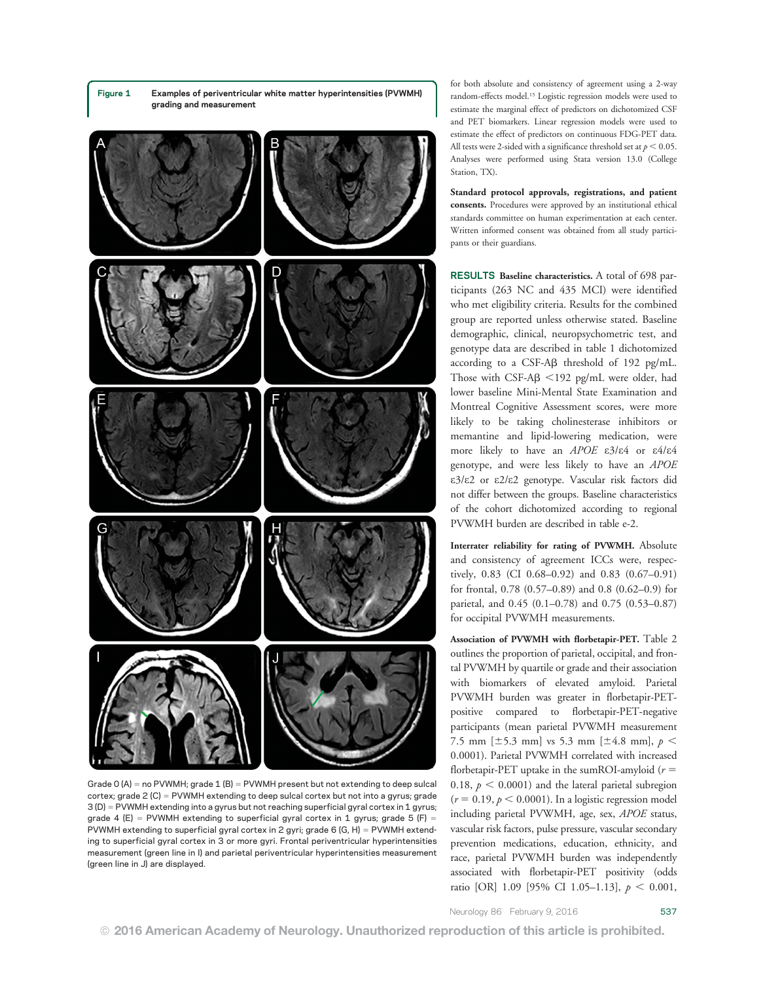

Figure 1 Examples of periventricular white matter hyperintensities (PVWMH)

Grade 0 (A) = no PVWMH; grade 1 (B) = PVWMH present but not extending to deep sulcal cortex; grade  $2$  (C) = PVWMH extending to deep sulcal cortex but not into a gyrus; grade  $3(D) = PVWMH$  extending into a gyrus but not reaching superficial gyral cortex in 1 gyrus; grade 4 (E) = PVWMH extending to superficial gyral cortex in 1 gyrus; grade 5 (F) = PVWMH extending to superficial gyral cortex in 2 gyri; grade 6 (G, H) = PVWMH extending to superficial gyral cortex in 3 or more gyri. Frontal periventricular hyperintensities measurement (green line in I) and parietal periventricular hyperintensities measurement (green line in J) are displayed.

for both absolute and consistency of agreement using a 2-way random-effects model.15 Logistic regression models were used to estimate the marginal effect of predictors on dichotomized CSF and PET biomarkers. Linear regression models were used to estimate the effect of predictors on continuous FDG-PET data. All tests were 2-sided with a significance threshold set at  $p < 0.05$ . Analyses were performed using Stata version 13.0 (College Station, TX).

Standard protocol approvals, registrations, and patient consents. Procedures were approved by an institutional ethical standards committee on human experimentation at each center. Written informed consent was obtained from all study participants or their guardians.

RESULTS Baseline characteristics. A total of 698 participants (263 NC and 435 MCI) were identified who met eligibility criteria. Results for the combined group are reported unless otherwise stated. Baseline demographic, clinical, neuropsychometric test, and genotype data are described in table 1 dichotomized according to a  $CSF-AB$  threshold of 192 pg/mL. Those with  $CSF-AB \leq 192$  pg/mL were older, had lower baseline Mini-Mental State Examination and Montreal Cognitive Assessment scores, were more likely to be taking cholinesterase inhibitors or memantine and lipid-lowering medication, were more likely to have an APOE ε3/ε4 or ε4/ε4 genotype, and were less likely to have an APOE e3/e2 or e2/e2 genotype. Vascular risk factors did not differ between the groups. Baseline characteristics of the cohort dichotomized according to regional PVWMH burden are described in table e-2.

Interrater reliability for rating of PVWMH. Absolute and consistency of agreement ICCs were, respectively, 0.83 (CI 0.68–0.92) and 0.83 (0.67–0.91) for frontal, 0.78 (0.57–0.89) and 0.8 (0.62–0.9) for parietal, and 0.45 (0.1–0.78) and 0.75 (0.53–0.87) for occipital PVWMH measurements.

Association of PVWMH with florbetapir-PET. Table 2 outlines the proportion of parietal, occipital, and frontal PVWMH by quartile or grade and their association with biomarkers of elevated amyloid. Parietal PVWMH burden was greater in florbetapir-PETpositive compared to florbetapir-PET-negative participants (mean parietal PVWMH measurement 7.5 mm [ $\pm$ 5.3 mm] vs 5.3 mm [ $\pm$ 4.8 mm],  $p$  < 0.0001). Parietal PVWMH correlated with increased florbetapir-PET uptake in the sumROI-amyloid ( $r =$ 0.18,  $p < 0.0001$ ) and the lateral parietal subregion  $(r = 0.19, p \le 0.0001)$ . In a logistic regression model including parietal PVWMH, age, sex, APOE status, vascular risk factors, pulse pressure, vascular secondary prevention medications, education, ethnicity, and race, parietal PVWMH burden was independently associated with florbetapir-PET positivity (odds ratio [OR] 1.09 [95% CI 1.05-1.13],  $p < 0.001$ ,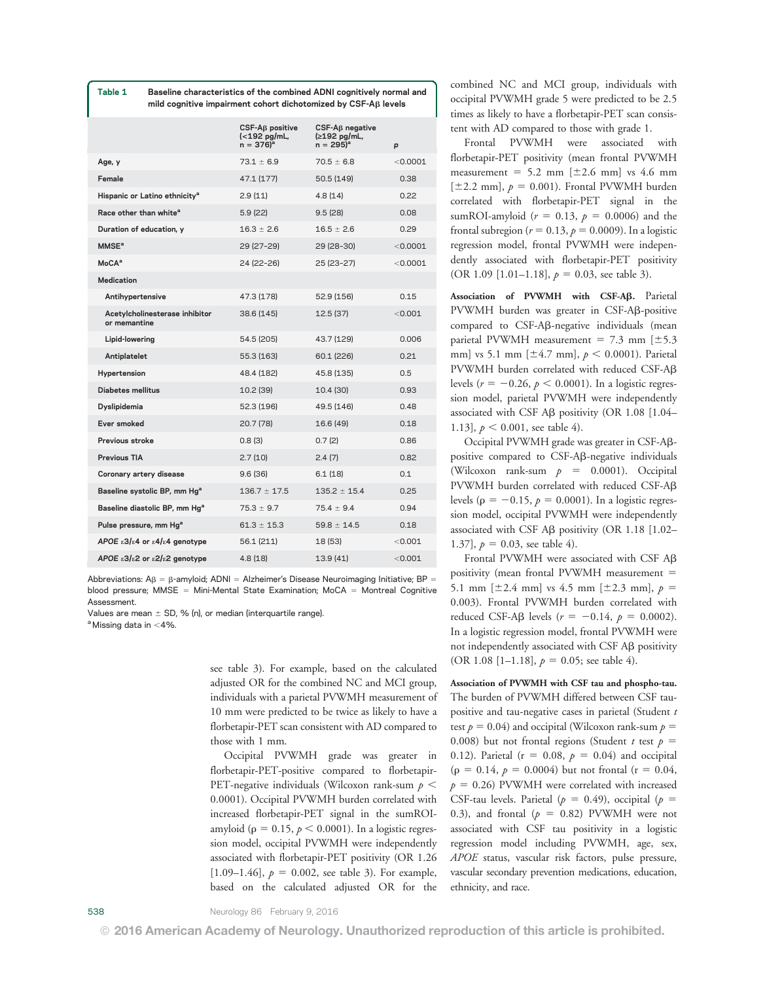| Table 1                            | Baseline characteristics of the combined ADNI cognitively normal and<br>mild cognitive impairment cohort dichotomized by CSF-AB levels |                                                 |                                                     |            |
|------------------------------------|----------------------------------------------------------------------------------------------------------------------------------------|-------------------------------------------------|-----------------------------------------------------|------------|
|                                    |                                                                                                                                        | $CSF-AB$ positive<br>(<192 pg/mL,<br>$n = 376a$ | $CSF-AB$ negative<br>(≥192 pg/mL,<br>$n = 295)^{a}$ | p          |
| Age, y                             |                                                                                                                                        | $73.1 \pm 6.9$                                  | $70.5 \pm 6.8$                                      | $<$ 0.0001 |
| Female                             |                                                                                                                                        | 47.1 (177)                                      | 50.5 (149)                                          | 0.38       |
|                                    | Hispanic or Latino ethnicity <sup>a</sup>                                                                                              | 2.9(11)                                         | 4.8(14)                                             | 0.22       |
| Race other than white <sup>a</sup> |                                                                                                                                        | 5.9(22)                                         | 9.5(28)                                             | 0.08       |
| Duration of education, y           |                                                                                                                                        | $16.3 \pm 2.6$                                  | $16.5 \pm 2.6$                                      | 0.29       |
| <b>MMSE<sup>a</sup></b>            |                                                                                                                                        | 29 (27-29)                                      | 29 (28-30)                                          | $<$ 0.0001 |
| MoCA <sup>a</sup>                  |                                                                                                                                        | 24 (22-26)                                      | 25 (23-27)                                          | $<$ 0.0001 |
| Medication                         |                                                                                                                                        |                                                 |                                                     |            |
| Antihypertensive                   |                                                                                                                                        | 47.3 (178)                                      | 52.9 (156)                                          | 0.15       |
| or memantine                       | Acetylcholinesterase inhibitor                                                                                                         | 38.6 (145)                                      | 12.5 (37)                                           | $<$ 0.001  |
| Lipid-lowering                     |                                                                                                                                        | 54.5 (205)                                      | 43.7 (129)                                          | 0.006      |
| Antiplatelet                       |                                                                                                                                        | 55.3 (163)                                      | 60.1 (226)                                          | 0.21       |
| Hypertension                       |                                                                                                                                        | 48.4 (182)                                      | 45.8 (135)                                          | 0.5        |
| <b>Diabetes mellitus</b>           |                                                                                                                                        | 10.2 (39)                                       | 10.4 (30)                                           | 0.93       |
| Dyslipidemia                       |                                                                                                                                        | 52.3 (196)                                      | 49.5 (146)                                          | 0.48       |
| Ever smoked                        |                                                                                                                                        | 20.7 (78)                                       | 16.6 (49)                                           | 0.18       |
| Previous stroke                    |                                                                                                                                        | 0.8(3)                                          | 0.7(2)                                              | 0.86       |
| Previous TIA                       |                                                                                                                                        | 2.7(10)                                         | 2.4(7)                                              | 0.82       |
| Coronary artery disease            |                                                                                                                                        | 9.6 (36)                                        | 6.1(18)                                             | 0.1        |
|                                    | Baseline systolic BP, mm Hg <sup>a</sup>                                                                                               | $136.7 \pm 17.5$                                | $135.2 \pm 15.4$                                    | 0.25       |
|                                    | Baseline diastolic BP, mm Hg <sup>a</sup>                                                                                              | $75.3 \pm 9.7$                                  | $75.4 \pm 9.4$                                      | 0.94       |
| Pulse pressure, mm Hg <sup>a</sup> |                                                                                                                                        | $61.3 \pm 15.3$                                 | $59.8 \pm 14.5$                                     | 0.18       |
|                                    | APOE $\epsilon 3/\epsilon 4$ or $\epsilon 4/\epsilon 4$ genotype                                                                       | 56.1 (211)                                      | 18 (53)                                             | $<$ 0.001  |
|                                    | APOE $\epsilon 3/\epsilon 2$ or $\epsilon 2/\epsilon 2$ genotype                                                                       | 4.8 (18)                                        | 13.9 (41)                                           | < 0.001    |
|                                    |                                                                                                                                        |                                                 |                                                     |            |

Abbreviations:  $A\beta = \beta$ -amyloid; ADNI = Alzheimer's Disease Neuroimaging Initiative; BP = blood pressure; MMSE = Mini-Mental State Examination; MoCA = Montreal Cognitive Assessment.

Values are mean  $\pm$  SD, % (n), or median (interquartile range).

 $a$  Missing data in  $<$ 4%.

see table 3). For example, based on the calculated adjusted OR for the combined NC and MCI group, individuals with a parietal PVWMH measurement of 10 mm were predicted to be twice as likely to have a florbetapir-PET scan consistent with AD compared to those with 1 mm.

Occipital PVWMH grade was greater in florbetapir-PET-positive compared to florbetapir-PET-negative individuals (Wilcoxon rank-sum  $p <$ 0.0001). Occipital PVWMH burden correlated with increased florbetapir-PET signal in the sumROIamyloid ( $\rho = 0.15$ ,  $p < 0.0001$ ). In a logistic regression model, occipital PVWMH were independently associated with florbetapir-PET positivity (OR 1.26 [1.09–1.46],  $p = 0.002$ , see table 3). For example, based on the calculated adjusted OR for the combined NC and MCI group, individuals with occipital PVWMH grade 5 were predicted to be 2.5 times as likely to have a florbetapir-PET scan consistent with AD compared to those with grade 1.

Frontal PVWMH were associated with florbetapir-PET positivity (mean frontal PVWMH measurement =  $5.2$  mm  $[\pm 2.6$  mm] vs 4.6 mm  $[\pm 2.2 \text{ mm}]$ ,  $p = 0.001$ ). Frontal PVWMH burden correlated with florbetapir-PET signal in the sumROI-amyloid ( $r = 0.13$ ,  $p = 0.0006$ ) and the frontal subregion ( $r = 0.13$ ,  $p = 0.0009$ ). In a logistic regression model, frontal PVWMH were independently associated with florbetapir-PET positivity (OR 1.09 [1.01–1.18],  $p = 0.03$ , see table 3).

Association of PVWMH with CSF-Aß. Parietal PVWMH burden was greater in CSF-AB-positive compared to CSF-Aß-negative individuals (mean parietal PVWMH measurement = 7.3 mm  $[\pm 5.3]$ mm] vs 5.1 mm [ $\pm$ 4.7 mm],  $p < 0.0001$ ). Parietal PVWMH burden correlated with reduced CSF-Aß levels ( $r = -0.26$ ,  $p < 0.0001$ ). In a logistic regression model, parietal PVWMH were independently associated with CSF A $\beta$  positivity (OR 1.08 [1.04– 1.13],  $p < 0.001$ , see table 4).

Occipital PVWMH grade was greater in CSF-Abpositive compared to CSF-Aß-negative individuals (Wilcoxon rank-sum  $p = 0.0001$ ). Occipital PVWMH burden correlated with reduced CSF-Aß levels ( $\rho = -0.15$ ,  $p = 0.0001$ ). In a logistic regression model, occipital PVWMH were independently associated with CSF A $\beta$  positivity (OR 1.18 [1.02– 1.37],  $p = 0.03$ , see table 4).

Frontal PVWMH were associated with CSF AB positivity (mean frontal PVWMH measurement = 5.1 mm  $[\pm 2.4 \text{ mm}]$  vs 4.5 mm  $[\pm 2.3 \text{ mm}]$ ,  $p =$ 0.003). Frontal PVWMH burden correlated with reduced CSF-A $\beta$  levels ( $r = -0.14$ ,  $p = 0.0002$ ). In a logistic regression model, frontal PVWMH were not independently associated with  $CSF$  A $\beta$  positivity (OR 1.08 [1-1.18],  $p = 0.05$ ; see table 4).

Association of PVWMH with CSF tau and phospho-tau. The burden of PVWMH differed between CSF taupositive and tau-negative cases in parietal (Student t test  $p = 0.04$ ) and occipital (Wilcoxon rank-sum  $p =$ 0.008) but not frontal regions (Student t test  $p =$ 0.12). Parietal ( $r = 0.08$ ,  $p = 0.04$ ) and occipital  $(p = 0.14, p = 0.0004)$  but not frontal  $(r = 0.04,$  $p = 0.26$ ) PVWMH were correlated with increased CSF-tau levels. Parietal ( $p = 0.49$ ), occipital ( $p =$ 0.3), and frontal ( $p = 0.82$ ) PVWMH were not associated with CSF tau positivity in a logistic regression model including PVWMH, age, sex, APOE status, vascular risk factors, pulse pressure, vascular secondary prevention medications, education, ethnicity, and race.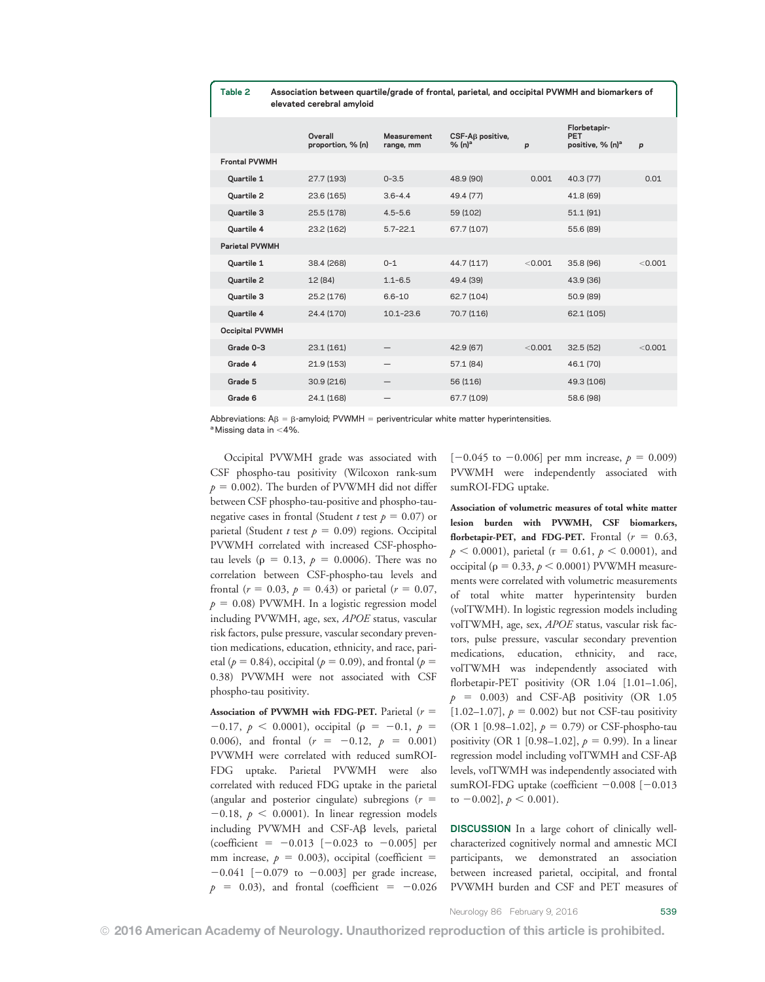Table 2 Association between quartile/grade of frontal, parietal, and occipital PVWMH and biomarkers of elevated cerebral amyloid

|                        | Overall<br>proportion, % (n) | Measurement<br>range, mm | CSF-A <sub>B</sub> positive,<br>% (n) <sup>a</sup> | $\mathsf{p}$ | Florbetapir-<br><b>PET</b><br>positive, % (n) <sup>a</sup> | $\mathsf{p}$ |
|------------------------|------------------------------|--------------------------|----------------------------------------------------|--------------|------------------------------------------------------------|--------------|
| <b>Frontal PVWMH</b>   |                              |                          |                                                    |              |                                                            |              |
| <b>Ouartile 1</b>      | 27.7 (193)                   | $0 - 3.5$                | 48.9 (90)                                          | 0.001        | 40.3(77)                                                   | 0.01         |
| <b>Ouartile 2</b>      | 23.6 (165)                   | $3.6 - 4.4$              | 49.4 (77)                                          |              | 41.8 (69)                                                  |              |
| Quartile 3             | 25.5 (178)                   | $4.5 - 5.6$              | 59 (102)                                           |              | 51.1(91)                                                   |              |
| Quartile 4             | 23.2 (162)                   | $5.7 - 22.1$             | 67.7 (107)                                         |              | 55.6 (89)                                                  |              |
| <b>Parietal PVWMH</b>  |                              |                          |                                                    |              |                                                            |              |
| <b>Ouartile 1</b>      | 38.4 (268)                   | $0 - 1$                  | 44.7 (117)                                         | < 0.001      | 35.8 (96)                                                  | < 0.001      |
| Quartile 2             | 12 (84)                      | $1.1 - 6.5$              | 49.4 (39)                                          |              | 43.9 (36)                                                  |              |
| Quartile 3             | 25.2 (176)                   | $6.6 - 10$               | 62.7 (104)                                         |              | 50.9 (89)                                                  |              |
| Quartile 4             | 24.4 (170)                   | 10.1-23.6                | 70.7 (116)                                         |              | 62.1 (105)                                                 |              |
| <b>Occipital PVWMH</b> |                              |                          |                                                    |              |                                                            |              |
| Grade 0-3              | 23.1 (161)                   |                          | 42.9 (67)                                          | < 0.001      | 32.5(52)                                                   | < 0.001      |
| Grade 4                | 21.9(153)                    | —                        | 57.1 (84)                                          |              | 46.1 (70)                                                  |              |
| Grade 5                | 30.9 (216)                   | —                        | 56 (116)                                           |              | 49.3 (106)                                                 |              |
| Grade 6                | 24.1 (168)                   |                          | 67.7 (109)                                         |              | 58.6 (98)                                                  |              |
|                        |                              |                          |                                                    |              |                                                            |              |

Abbreviations:  $A\beta = \beta$ -amyloid; PVWMH = periventricular white matter hyperintensities.  $a$  Missing data in  $<$  4%.

Occipital PVWMH grade was associated with CSF phospho-tau positivity (Wilcoxon rank-sum  $p = 0.002$ ). The burden of PVWMH did not differ between CSF phospho-tau-positive and phospho-taunegative cases in frontal (Student t test  $p = 0.07$ ) or parietal (Student t test  $p = 0.09$ ) regions. Occipital PVWMH correlated with increased CSF-phosphotau levels ( $\rho = 0.13$ ,  $p = 0.0006$ ). There was no correlation between CSF-phospho-tau levels and frontal ( $r = 0.03$ ,  $p = 0.43$ ) or parietal ( $r = 0.07$ ,  $p = 0.08$ ) PVWMH. In a logistic regression model including PVWMH, age, sex, APOE status, vascular risk factors, pulse pressure, vascular secondary prevention medications, education, ethnicity, and race, parietal ( $p = 0.84$ ), occipital ( $p = 0.09$ ), and frontal ( $p = 0.5$ 0.38) PVWMH were not associated with CSF phospho-tau positivity.

Association of PVWMH with FDG-PET. Parietal  $(r =$  $-0.17$ ,  $p < 0.0001$ ), occipital ( $p = -0.1$ ,  $p =$ 0.006), and frontal  $(r = -0.12, p = 0.001)$ PVWMH were correlated with reduced sumROI-FDG uptake. Parietal PVWMH were also correlated with reduced FDG uptake in the parietal (angular and posterior cingulate) subregions ( $r =$  $-0.18$ ,  $p < 0.0001$ ). In linear regression models including PVWMH and  $CSF-AB$  levels, parietal (coefficient =  $-0.013$   $[-0.023$  to  $-0.005]$  per mm increase,  $p = 0.003$ ), occipital (coefficient =  $-0.041$   $[-0.079$  to  $-0.003$ ] per grade increase,  $p = 0.03$ ), and frontal (coefficient = -0.026

 $[-0.045 \text{ to } -0.006]$  per mm increase,  $p = 0.009$ ) PVWMH were independently associated with sumROI-FDG uptake.

Association of volumetric measures of total white matter lesion burden with PVWMH, CSF biomarkers, florbetapir-PET, and FDG-PET. Frontal  $(r = 0.63,$  $p < 0.0001$ ), parietal (r = 0.61,  $p < 0.0001$ ), and occipital ( $\rho = 0.33$ ,  $p < 0.0001$ ) PVWMH measurements were correlated with volumetric measurements of total white matter hyperintensity burden (volTWMH). In logistic regression models including volTWMH, age, sex, APOE status, vascular risk factors, pulse pressure, vascular secondary prevention medications, education, ethnicity, and race, volTWMH was independently associated with florbetapir-PET positivity (OR 1.04 [1.01–1.06],  $p = 0.003$ ) and CSF-A $\beta$  positivity (OR 1.05 [1.02–1.07],  $p = 0.002$ ) but not CSF-tau positivity (OR 1 [0.98-1.02],  $p = 0.79$ ) or CSF-phospho-tau positivity (OR 1 [0.98–1.02],  $p = 0.99$ ). In a linear regression model including volTWMH and CSF-Ab levels, volTWMH was independently associated with sumROI-FDG uptake (coefficient  $-0.008$   $[-0.013]$ to  $-0.002$ ],  $p < 0.001$ ).

DISCUSSION In a large cohort of clinically wellcharacterized cognitively normal and amnestic MCI participants, we demonstrated an association between increased parietal, occipital, and frontal PVWMH burden and CSF and PET measures of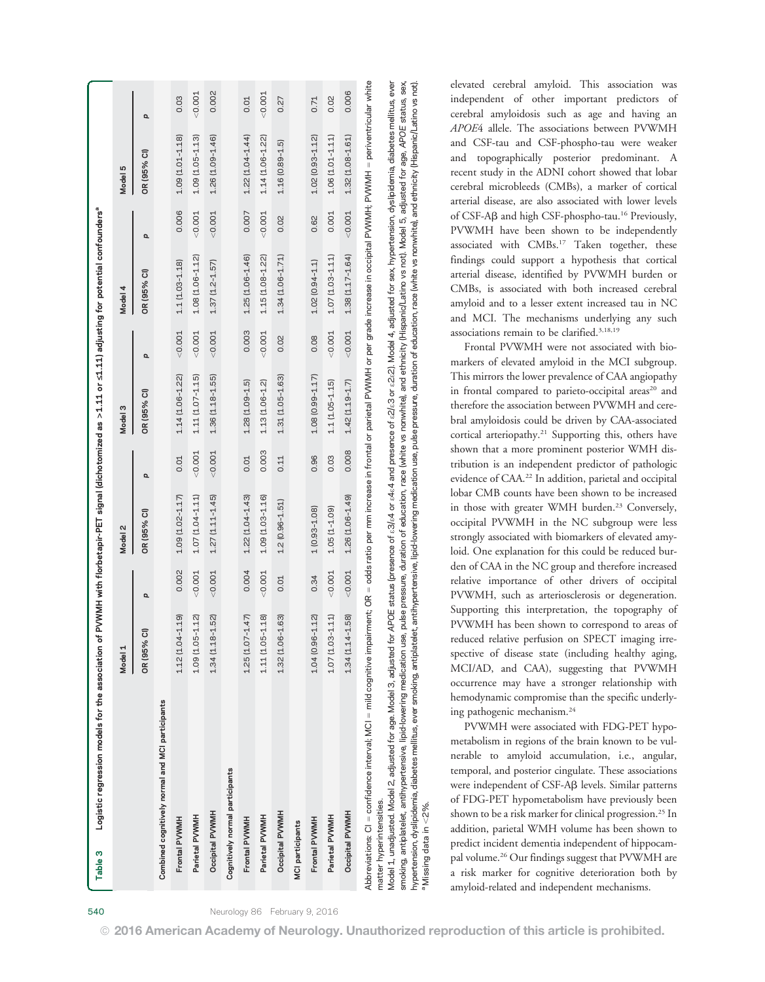| Table 3                  | Logistic regression models for the association of PVWMH with florbetapir-PET signal (dichotomized as >1.11 or ≤1.11) adjusting for potential confoundersª |                     |         |                     |         |                    |         |                                                                                                                                   |         |                     |         |
|--------------------------|-----------------------------------------------------------------------------------------------------------------------------------------------------------|---------------------|---------|---------------------|---------|--------------------|---------|-----------------------------------------------------------------------------------------------------------------------------------|---------|---------------------|---------|
|                          |                                                                                                                                                           | Model 1             |         | Model 2             |         | Model 3            |         | Model 4                                                                                                                           |         | Model 5             |         |
|                          |                                                                                                                                                           | OR (95% CI)         |         | OR (95% CI)         | Q       | OR (95% CI)        | Q       | OR (95% CI)                                                                                                                       | Q       | OR (95% CI)         | Q       |
|                          | Combined cognitively normal and MCI participants                                                                                                          |                     |         |                     |         |                    |         |                                                                                                                                   |         |                     |         |
| Frontal PVWMH            |                                                                                                                                                           | $1.12(1.04 - 1.19)$ | 0.002   | 1.09 (1.02-1.17)    | 0.01    | 1.14 (1.06-1.22)   | < 0.001 | $1.1(1.03 - 1.18)$                                                                                                                | 0.006   | 1.09 (1.01-1.18)    | 0.03    |
| Parietal PVWMH           |                                                                                                                                                           | 1.09 (1.05-1.12)    | < 0.001 | 1.07 (1.04-1.11)    | < 0.001 | 1.11 (1.07-1.15)   | < 0.001 | 1.08 (1.06-1.12)                                                                                                                  | < 0.001 | 1.09 (1.05-1.13)    | < 0.001 |
| Occipital PVWMH          |                                                                                                                                                           | $1.34(1.18 - 1.52)$ | < 0.001 | $1.27(1.11 - 1.45)$ | < 0.001 | 1.36 (1.18-1.55)   | < 0.001 | $1.37(1.2 - 1.57)$                                                                                                                | < 0.001 | 1.26 (1.09-1.46)    | 0.002   |
|                          | Cognitively normal participants                                                                                                                           |                     |         |                     |         |                    |         |                                                                                                                                   |         |                     |         |
| Frontal PVWMH            |                                                                                                                                                           | 1.25 (1.07-1.47)    | 0.004   | $1.22(1.04 - 1.43)$ | 0.01    | $1.28(1.09 - 1.5)$ | 0.003   | 1.25 (1.06-1.46)                                                                                                                  | 0.007   | $1.22(1.04 - 1.44)$ | 0.01    |
| Parietal PVWMH           |                                                                                                                                                           | 1.11 (1.05-1.18)    | < 0.001 | 1.09 (1.03-1.16)    | 0.003   | 1.13 (1.06-1.2)    | < 0.001 | $1.15(1.08 - 1.22)$                                                                                                               | < 0.001 | 1.14 (1.06-1.22)    | < 0.001 |
| Occipital PVWMH          |                                                                                                                                                           | $1.32(1.06 - 1.63)$ | 0.01    | $1.2(0.96 - 1.51)$  | 0.11    | 1.31 (1.05-1.63)   | 0.02    | 1.34 (1.06-1.71)                                                                                                                  | 0.02    | $1.16(0.89 - 1.5)$  | 0.27    |
| <b>MCI</b> participants  |                                                                                                                                                           |                     |         |                     |         |                    |         |                                                                                                                                   |         |                     |         |
| Frontal PVWMH            |                                                                                                                                                           | 1.04 (0.96-1.12)    | 0.34    | $1(0.93 - 1.08)$    | 0.96    | 1.08 (0.99-1.17)   | 0.08    | $1.02(0.94 - 1.1)$                                                                                                                | 0.62    | 1.02 (0.93-1.12)    | 0.71    |
| Parietal PVWMH           |                                                                                                                                                           | 1.07 (1.03-1.11)    | < 0.001 | $1.05(1 - 1.09)$    | 0.03    | 1.1 (1.05-1.15)    | < 0.001 | $1.07(1.03 - 1.11)$                                                                                                               | 0.001   | $1.06(1.01 - 1.11)$ | 0.02    |
| Occipital PVWMH          |                                                                                                                                                           | $1.34(1.14 - 1.58)$ | < 0.001 | 1.26 (1.06-1.49)    | 0.008   | $1.42(1.19 - 1.7)$ | < 0.001 | 1.38 (1.17-1.64)                                                                                                                  | < 0.001 | 1.32 (1.08-1.61)    | 0.006   |
| matter hyperintensities. | Abbreviations: CI = confidence interval; MCI = mild cognitive impairment; OR                                                                              |                     |         |                     |         |                    |         | = odds ratio per mm increase in frontal or parietal PVWMH or per grade increase in occipital PVWMH; PVWMH = periventricular white |         |                     |         |

Model 1, unadjusted. Model 2, adjusted for age. Model 3, adjusted for APOE status (presence of ε3/c4 or e4c4 and presence of ε2/c3 or ε2ε2). Model 4, adjusted for sex, hypertension, dyslipidemia, diabetes mellitus, ever Model 1, unadjusted. Model 2, adjusted for APOE status (presence of e3/e4 or e4e4 and presence of e2/e3 or e2e2). Model 4, adjusted for sex, hypertension, dyslipidemia, diabetes mellitus, ever smoking, antiplatelet, antihypertensive, lipid-lowering medication use, pulse pressure, duration of education, race (white vs nonwhite), and ethnicity (Hispanio/Latino vs not). Model 5, adjusted for age, APOE status, sex, smoking, antiplatelet, antihypertensive, lipid-lowering medication use, pulse pressure, duration of education, race (white vs nonwhite), and ethnicity (Hispanic/Latino vs not). Model 5, adjusted for age, APOE status, sex, rypertension, dyslipidemia, diabetes mellitus, ever smoking, antiplatelet, antipidety pertensive, lipid-lowering medication use, pulse pressure, duration of education, race (white vs norwhite), and ethnicity (Hispanic/Lati hypertension, dyslipidemia, diabetes mellitus, ever smoking, artipidatelet, antipidate in prechication use, pulse pressure, duration of education, race (white ys nonwhite), and ethnicity (Hispanic/Latino vs not)<br>\* \* \* ~ \* nyperintensities. <sup>9</sup>Missing data in <2% Missing data in matter |

elevated cerebral amyloid. This association was independent of other important predictors of cerebral amyloidosis such as age and having an APOE4 allele. The associations between PVWMH and CSF-tau and CSF-phospho-tau were weaker and topographically posterior predominant. A recent study in the ADNI cohort showed that lobar cerebral microbleeds (CMBs), a marker of cortical arterial disease, are also associated with lower levels of CSF-A $\beta$  and high CSF-phospho-tau.<sup>16</sup> Previously, PVWMH have been shown to be independently associated with CMBs.<sup>17</sup> Taken together, these findings could support a hypothesis that cortical arterial disease, identified by PVWMH burden or CMBs, is associated with both increased cerebral amyloid and to a lesser extent increased tau in NC and MCI. The mechanisms underlying any such associations remain to be clarified.3,18,19

Frontal PVWMH were not associated with biomarkers of elevated amyloid in the MCI subgroup. This mirrors the lower prevalence of CAA angiopathy in frontal compared to parieto-occipital areas<sup>20</sup> and therefore the association between PVWMH and cerebral amyloidosis could be driven by CAA-associated cortical arteriopathy.<sup>21</sup> Supporting this, others have shown that a more prominent posterior WMH distribution is an independent predictor of pathologic evidence of CAA.22 In addition, parietal and occipital lobar CMB counts have been shown to be increased in those with greater WMH burden.<sup>23</sup> Conversely, occipital PVWMH in the NC subgroup were less strongly associated with biomarkers of elevated amyloid. One explanation for this could be reduced burden of CAA in the NC group and therefore increased relative importance of other drivers of occipital PVWMH, such as arteriosclerosis or degeneration. Supporting this interpretation, the topography of PVWMH has been shown to correspond to areas of reduced relative perfusion on SPECT imaging irrespective of disease state (including healthy aging, MCI/AD, and CAA), suggesting that PVWMH occurrence may have a stronger relationship with hemodynamic compromise than the specific underlying pathogenic mechanism.24

PVWMH were associated with FDG-PET hypometabolism in regions of the brain known to be vulnerable to amyloid accumulation, i.e., angular, temporal, and posterior cingulate. These associations were independent of CSF-Aß levels. Similar patterns of FDG-PET hypometabolism have previously been shown to be a risk marker for clinical progression.<sup>25</sup> In addition, parietal WMH volume has been shown to predict incident dementia independent of hippocampal volume.26 Our findings suggest that PVWMH are a risk marker for cognitive deterioration both by amyloid-related and independent mechanisms.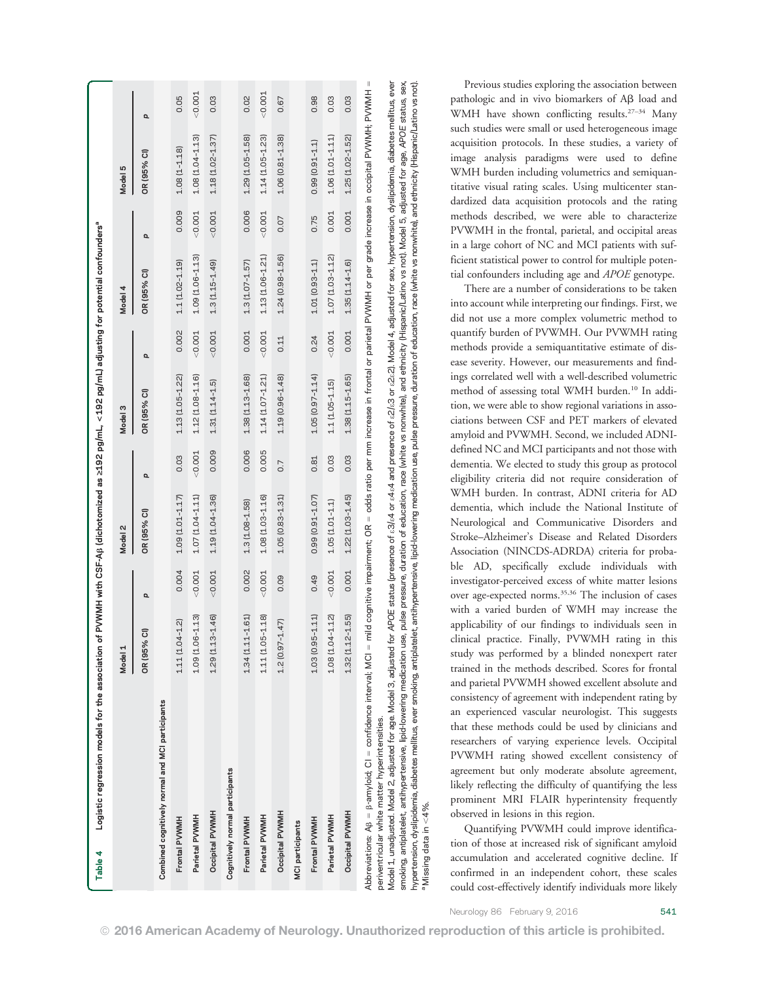| Table 4                 | Logistic regression models for the association of PVWMH with CSF-Aβ (dichotomized as ≥192 pg/mL, <192 pg/mL) adjusting for potential confoundersª                                                                                                          |                    |         |                     |         |                     |         |                     |         |                                                                                                                                                                                            |         |
|-------------------------|------------------------------------------------------------------------------------------------------------------------------------------------------------------------------------------------------------------------------------------------------------|--------------------|---------|---------------------|---------|---------------------|---------|---------------------|---------|--------------------------------------------------------------------------------------------------------------------------------------------------------------------------------------------|---------|
|                         |                                                                                                                                                                                                                                                            | Model 1            |         | Model 2             |         | Model 3             |         | Model 4             |         | Model 5                                                                                                                                                                                    |         |
|                         |                                                                                                                                                                                                                                                            | OR (95% CI)        |         | OR (95% CI)         | Q       | OR (95% CI)         | Q       | OR (95% CI)         | Q       | OR (95% CI)                                                                                                                                                                                | p       |
|                         | Combined cognitively normal and MCI participants                                                                                                                                                                                                           |                    |         |                     |         |                     |         |                     |         |                                                                                                                                                                                            |         |
| Frontal PVWMH           |                                                                                                                                                                                                                                                            | 1.11 (1.04-1.2)    | 0.004   | $1.09(1.01 - 1.17)$ | 0.03    | 1.13 (1.05-1.22)    | 0.002   | 1.1 (1.02-1.19)     | 0.009   | $1.08(1 - 1.18)$                                                                                                                                                                           | 0.05    |
| Parietal PVWMH          |                                                                                                                                                                                                                                                            | 1.09 (1.06-1.13)   | < 0.001 | $1.07(1.04 - 1.11)$ | < 0.001 | 1.12 (1.08-1.16)    | 0.001   | 1.09 (1.06-1.13)    | < 0.001 | 1.08 (1.04-1.13)                                                                                                                                                                           | < 0.001 |
| Occipital PVWMH         |                                                                                                                                                                                                                                                            | 1.29 (1.13-1.46)   | < 0.001 | 1.19 (1.04-1.36)    | 0.009   | $1.31(1.14 - 1.5)$  | < 0.001 | $1.3(1.15 - 1.49)$  | < 0.001 | 1.18 (1.02-1.37)                                                                                                                                                                           | 0.03    |
|                         | Cognitively normal participants                                                                                                                                                                                                                            |                    |         |                     |         |                     |         |                     |         |                                                                                                                                                                                            |         |
| Frontal PVWMH           |                                                                                                                                                                                                                                                            | 1.34 (1.11-1.61)   | 0.002   | 1.3 (1.08-1.58)     | 0.006   | 1.38 (1.13-1.68)    | 0.001   | $1.3(1.07 - 1.57)$  | 0.006   | 1.29 (1.05-1.58)                                                                                                                                                                           | 0.02    |
| Parietal PVWMH          |                                                                                                                                                                                                                                                            | 1.11 (1.05-1.18)   | < 0.001 | 1.08 (1.03-1.16)    | 0.005   | 1.14 (1.07-1.21)    | < 0.001 | 1.13 (1.06-1.21)    | < 0.001 | 1.14 (1.05-1.23)                                                                                                                                                                           | < 0.001 |
| Occipital PVWMH         |                                                                                                                                                                                                                                                            | $1.2(0.97 - 1.47)$ | 0.09    | 1.05 (0.83-1.31)    | 0.7     | 1.19 (0.96-1.48)    | 0.11    | $1.24(0.98 - 1.56)$ | 0.07    | 1.06 (0.81-1.38)                                                                                                                                                                           | 0.67    |
| <b>MCI</b> participants |                                                                                                                                                                                                                                                            |                    |         |                     |         |                     |         |                     |         |                                                                                                                                                                                            |         |
| Frontal PVWMH           |                                                                                                                                                                                                                                                            | 1.03 (0.95-1.11)   | 0.49    | $0.99(0.91 - 1.07)$ | 0.81    | $1.05(0.97 - 1.14)$ | 0.24    | $1.01(0.93 - 1.1)$  | 0.75    | $0.99(0.91 - 1.1)$                                                                                                                                                                         | 0.98    |
| Parietal PVWMH          |                                                                                                                                                                                                                                                            | 1.08 (1.04-1.12)   | < 0.001 | $1.05(1.01 - 1.1)$  | 0.03    | 1.1 (1.05-1.15)     | < 0.001 | 1.07 (1.03-1.12)    | 0.001   | 1.06 (1.01-1.11)                                                                                                                                                                           | 0.03    |
| Occipital PVWMH         |                                                                                                                                                                                                                                                            | 1.32 (1.12-1.55)   | 0.001   | $1.22(1.03 - 1.45)$ | 0.03    | 1.38 (1.15-1.65)    | 0.001   | $1.35(1.14 - 1.6)$  | 0.001   | $1.25(1.02 - 1.52)$                                                                                                                                                                        | 0.03    |
|                         | Abbreviations: Aβ = β-amyloid; Cl = confidence interval; MCl = mild cognitive impairment; OR = odds ratio per mm increase in frontal or parietal PVWMH or per grade increase in occipital PVWMH; PVWMH =<br>periventricular white matter hyperintensities. |                    |         |                     |         |                     |         |                     |         | مست مستالموسوم والمسواد والمسامي المستحق والمستحد والمحافي المستالي المستر والمراقب ومستحق ومستعمل المستحد المستحد المستحد المستحد المستحد المستحد المستحد المستحد المستحد المستحد المستحد |         |

Model 1, unadjusted. Model 2, adjusted for APOE status (presence of e3/e4 or e4e4 and presence of e2/e3 or e2e2). Model 4, adjusted for sex, hypertension, dyslipidemia, diabetes mellitus, ever adjuster of the sext, nypertension assement of the memory of the sext of the several constraints, ever smoking, antiplatelet, antihypertensive, lipid-lowering medication use, pulse pressure, duration of education, race (white vs nonwhite), and ethnicity (Hispanic/Latino vs not). Model 5, adjusted for age, APOE status, sex, smoking, antiplatelet, antihypertensive, lipid-lowering medication use, pulse pressure, duration of education, race (white vs nonwhite), and ethnicity (Hispanic/Latino vs not). Model 5, adjusted for age, APOE status, sex, hypertension, dyslipidemia, diabetes mellitus, ever smoking, antiplatelet, antihypertensive, lipid-lowering medication use, pulse pressure, duration of education, race (white vs nonwhite), and ethnicity (Hispanic/Latino vs hypertension, dyslipidemia, diabetes mellitus, ever smoking, antiplatelet, antiplatelet, antihypertensive, lipid-lowering medication use, pulse pressure, duration race (white ys non/white), and ethnicily (Hispanic/Latino v **SQUARE DIGESTION DIGESTS** of the set of Model 1, unadjusted. Model 2, adjusted for age. Model 3, adjusted for APOE status (presence of Missing data in <4% Missing data in

Previous studies exploring the association between pathologic and in vivo biomarkers of  $A\beta$  load and WMH have shown conflicting results.<sup>27-34</sup> Many such studies were small or used heterogeneous image acquisition protocols. In these studies, a variety of image analysis paradigms were used to define WMH burden including volumetrics and semiquantitative visual rating scales. Using multicenter standardized data acquisition protocols and the rating methods described, we were able to characterize PVWMH in the frontal, parietal, and occipital areas in a large cohort of NC and MCI patients with sufficient statistical power to control for multiple potential confounders including age and APOE genotype.

There are a number of considerations to be taken into account while interpreting our findings. First, we did not use a more complex volumetric method to quantify burden of PVWMH. Our PVWMH rating methods provide a semiquantitative estimate of disease severity. However, our measurements and findings correlated well with a well-described volumetric method of assessing total WMH burden.10 In addition, we were able to show regional variations in associations between CSF and PET markers of elevated amyloid and PVWMH. Second, we included ADNIdefined NC and MCI participants and not those with dementia. We elected to study this group as protocol eligibility criteria did not require consideration of WMH burden. In contrast, ADNI criteria for AD dementia, which include the National Institute of Neurological and Communicative Disorders and Stroke–Alzheimer's Disease and Related Disorders Association (NINCDS-ADRDA) criteria for probable AD, specifically exclude individuals with investigator-perceived excess of white matter lesions over age-expected norms.<sup>35,36</sup> The inclusion of cases with a varied burden of WMH may increase the applicability of our findings to individuals seen in clinical practice. Finally, PVWMH rating in this study was performed by a blinded nonexpert rater trained in the methods described. Scores for frontal and parietal PVWMH showed excellent absolute and consistency of agreement with independent rating by an experienced vascular neurologist. This suggests that these methods could be used by clinicians and researchers of varying experience levels. Occipital PVWMH rating showed excellent consistency of agreement but only moderate absolute agreement, likely reflecting the difficulty of quantifying the less prominent MRI FLAIR hyperintensity frequently observed in lesions in this region.

Quantifying PVWMH could improve identification of those at increased risk of significant amyloid accumulation and accelerated cognitive decline. If confirmed in an independent cohort, these scales could cost-effectively identify individuals more likely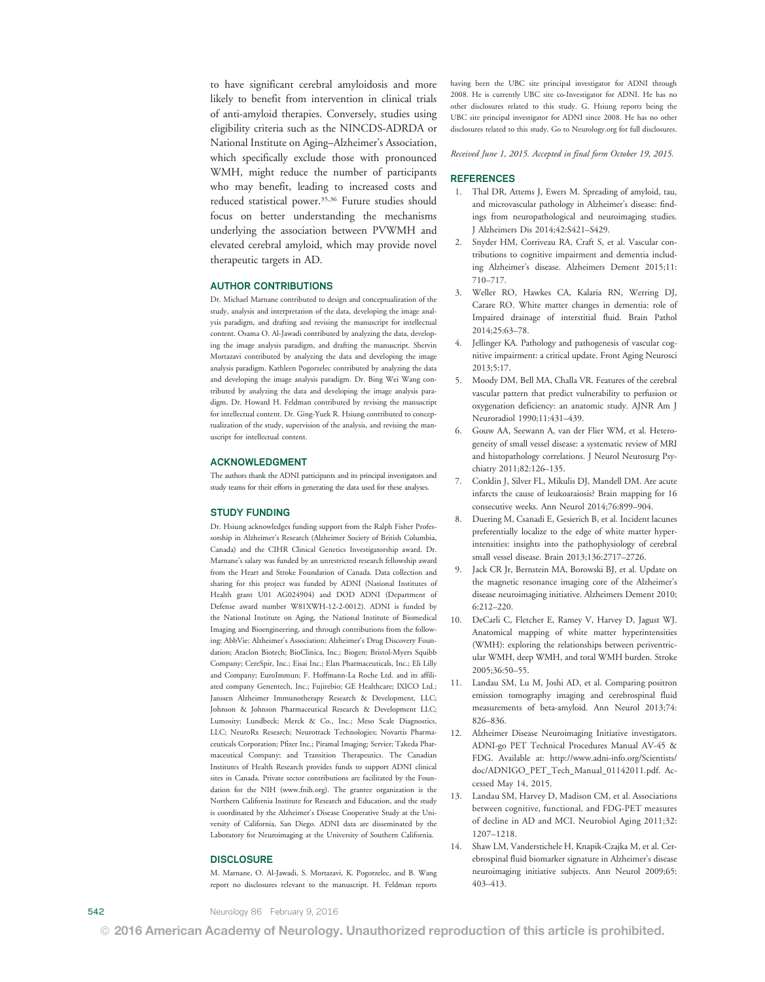to have significant cerebral amyloidosis and more likely to benefit from intervention in clinical trials of anti-amyloid therapies. Conversely, studies using eligibility criteria such as the NINCDS-ADRDA or National Institute on Aging–Alzheimer's Association, which specifically exclude those with pronounced WMH, might reduce the number of participants who may benefit, leading to increased costs and reduced statistical power.<sup>35,36</sup> Future studies should focus on better understanding the mechanisms underlying the association between PVWMH and elevated cerebral amyloid, which may provide novel therapeutic targets in AD.

#### AUTHOR CONTRIBUTIONS

Dr. Michael Marnane contributed to design and conceptualization of the study, analysis and interpretation of the data, developing the image analysis paradigm, and drafting and revising the manuscript for intellectual content. Osama O. Al-Jawadi contributed by analyzing the data, developing the image analysis paradigm, and drafting the manuscript. Shervin Mortazavi contributed by analyzing the data and developing the image analysis paradigm. Kathleen Pogorzelec contributed by analyzing the data and developing the image analysis paradigm. Dr. Bing Wei Wang contributed by analyzing the data and developing the image analysis paradigm. Dr. Howard H. Feldman contributed by revising the manuscript for intellectual content. Dr. Ging-Yuek R. Hsiung contributed to conceptualization of the study, supervision of the analysis, and revising the manuscript for intellectual content.

### ACKNOWLEDGMENT

The authors thank the ADNI participants and its principal investigators and study teams for their efforts in generating the data used for these analyses.

#### STUDY FUNDING

Dr. Hsiung acknowledges funding support from the Ralph Fisher Professorship in Alzheimer's Research (Alzheimer Society of British Columbia, Canada) and the CIHR Clinical Genetics Investigatorship award. Dr. Marnane's salary was funded by an unrestricted research fellowship award from the Heart and Stroke Foundation of Canada. Data collection and sharing for this project was funded by ADNI (National Institutes of Health grant U01 AG024904) and DOD ADNI (Department of Defense award number W81XWH-12-2-0012). ADNI is funded by the National Institute on Aging, the National Institute of Biomedical Imaging and Bioengineering, and through contributions from the following: AbbVie; Alzheimer's Association; Alzheimer's Drug Discovery Foundation; Araclon Biotech; BioClinica, Inc.; Biogen; Bristol-Myers Squibb Company; CereSpir, Inc.; Eisai Inc.; Elan Pharmaceuticals, Inc.; Eli Lilly and Company; EuroImmun; F. Hoffmann-La Roche Ltd. and its affiliated company Genentech, Inc.; Fujirebio; GE Healthcare; IXICO Ltd.; Janssen Alzheimer Immunotherapy Research & Development, LLC; Johnson & Johnson Pharmaceutical Research & Development LLC; Lumosity; Lundbeck; Merck & Co., Inc.; Meso Scale Diagnostics, LLC; NeuroRx Research; Neurotrack Technologies; Novartis Pharmaceuticals Corporation; Pfizer Inc.; Piramal Imaging; Servier; Takeda Pharmaceutical Company; and Transition Therapeutics. The Canadian Institutes of Health Research provides funds to support ADNI clinical sites in Canada. Private sector contributions are facilitated by the Foundation for the NIH [\(www.fnih.org\)](http://www.fnih.org). The grantee organization is the Northern California Institute for Research and Education, and the study is coordinated by the Alzheimer's Disease Cooperative Study at the University of California, San Diego. ADNI data are disseminated by the Laboratory for Neuroimaging at the University of Southern California.

#### **DISCLOSURE**

M. Marnane, O. Al-Jawadi, S. Mortazavi, K. Pogorzelec, and B. Wang report no disclosures relevant to the manuscript. H. Feldman reports having been the UBC site principal investigator for ADNI through 2008. He is currently UBC site co-Investigator for ADNI. He has no other disclosures related to this study. G. Hsiung reports being the UBC site principal investigator for ADNI since 2008. He has no other disclosures related to this study. Go to [Neurology.org](http://neurology.org/lookup/doi/10.1212/WNL.0000000000002352) for full disclosures.

Received June 1, 2015. Accepted in final form October 19, 2015.

#### REFERENCES

- 1. Thal DR, Attems J, Ewers M. Spreading of amyloid, tau, and microvascular pathology in Alzheimer's disease: findings from neuropathological and neuroimaging studies. J Alzheimers Dis 2014;42:S421–S429.
- 2. Snyder HM, Corriveau RA, Craft S, et al. Vascular contributions to cognitive impairment and dementia including Alzheimer's disease. Alzheimers Dement 2015;11: 710–717.
- 3. Weller RO, Hawkes CA, Kalaria RN, Werring DJ, Carare RO. White matter changes in dementia: role of Impaired drainage of interstitial fluid. Brain Pathol 2014;25:63–78.
- 4. Jellinger KA. Pathology and pathogenesis of vascular cognitive impairment: a critical update. Front Aging Neurosci 2013;5:17.
- 5. Moody DM, Bell MA, Challa VR. Features of the cerebral vascular pattern that predict vulnerability to perfusion or oxygenation deficiency: an anatomic study. AJNR Am J Neuroradiol 1990;11:431–439.
- 6. Gouw AA, Seewann A, van der Flier WM, et al. Heterogeneity of small vessel disease: a systematic review of MRI and histopathology correlations. J Neurol Neurosurg Psychiatry 2011;82:126–135.
- 7. Conklin J, Silver FL, Mikulis DJ, Mandell DM. Are acute infarcts the cause of leukoaraiosis? Brain mapping for 16 consecutive weeks. Ann Neurol 2014;76:899–904.
- 8. Duering M, Csanadi E, Gesierich B, et al. Incident lacunes preferentially localize to the edge of white matter hyperintensities: insights into the pathophysiology of cerebral small vessel disease. Brain 2013;136:2717–2726.
- 9. Jack CR Jr, Bernstein MA, Borowski BJ, et al. Update on the magnetic resonance imaging core of the Alzheimer's disease neuroimaging initiative. Alzheimers Dement 2010; 6:212–220.
- 10. DeCarli C, Fletcher E, Ramey V, Harvey D, Jagust WJ. Anatomical mapping of white matter hyperintensities (WMH): exploring the relationships between periventricular WMH, deep WMH, and total WMH burden. Stroke 2005;36:50–55.
- 11. Landau SM, Lu M, Joshi AD, et al. Comparing positron emission tomography imaging and cerebrospinal fluid measurements of beta-amyloid. Ann Neurol 2013;74: 826–836.
- 12. Alzheimer Disease Neuroimaging Initiative investigators. ADNI-go PET Technical Procedures Manual AV-45 & FDG. Available at: [http://www.adni-info.org/Scientists/](http://www.adni-info.org/Scientists/doc/ADNIGO_PET_Tech_Manual_01142011.pdf) [doc/ADNIGO\\_PET\\_Tech\\_Manual\\_01142011.pdf.](http://www.adni-info.org/Scientists/doc/ADNIGO_PET_Tech_Manual_01142011.pdf) Accessed May 14, 2015.
- 13. Landau SM, Harvey D, Madison CM, et al. Associations between cognitive, functional, and FDG-PET measures of decline in AD and MCI. Neurobiol Aging 2011;32: 1207–1218.
- 14. Shaw LM, Vanderstichele H, Knapik-Czajka M, et al. Cerebrospinal fluid biomarker signature in Alzheimer's disease neuroimaging initiative subjects. Ann Neurol 2009;65: 403–413.